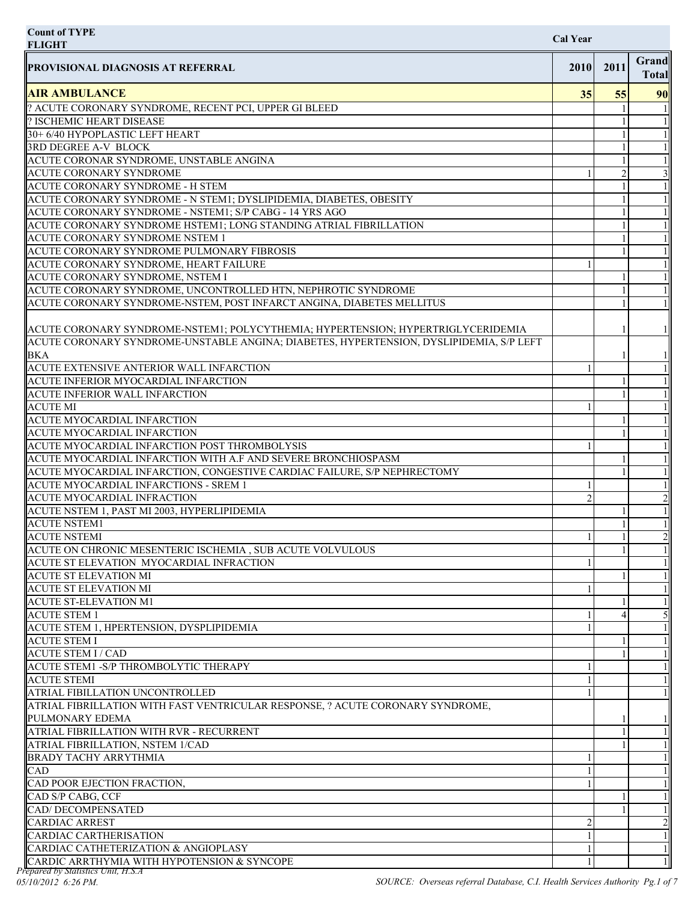| <b>Count of TYPE</b><br><b>FLIGHT</b>                                                   | <b>Cal Year</b> |      |                       |
|-----------------------------------------------------------------------------------------|-----------------|------|-----------------------|
| <b>PROVISIONAL DIAGNOSIS AT REFERRAL</b>                                                | 2010            | 2011 | Grand<br><b>Total</b> |
| <b>AIR AMBULANCE</b>                                                                    | 35              | 55   | 90                    |
| ? ACUTE CORONARY SYNDROME, RECENT PCI, UPPER GI BLEED                                   |                 |      |                       |
| ? ISCHEMIC HEART DISEASE                                                                |                 |      |                       |
| 30+6/40 HYPOPLASTIC LEFT HEART                                                          |                 |      |                       |
| 3RD DEGREE A-V BLOCK                                                                    |                 |      |                       |
| ACUTE CORONAR SYNDROME, UNSTABLE ANGINA                                                 |                 |      |                       |
| <b>ACUTE CORONARY SYNDROME</b>                                                          |                 |      |                       |
| ACUTE CORONARY SYNDROME - H STEM                                                        |                 |      |                       |
| ACUTE CORONARY SYNDROME - N STEM1; DYSLIPIDEMIA, DIABETES, OBESITY                      |                 |      |                       |
| ACUTE CORONARY SYNDROME - NSTEM1; S/P CABG - 14 YRS AGO                                 |                 |      |                       |
| ACUTE CORONARY SYNDROME HSTEM1; LONG STANDING ATRIAL FIBRILLATION                       |                 |      |                       |
| ACUTE CORONARY SYNDROME NSTEM 1                                                         |                 |      |                       |
| ACUTE CORONARY SYNDROME PULMONARY FIBROSIS<br>ACUTE CORONARY SYNDROME, HEART FAILURE    |                 |      |                       |
| ACUTE CORONARY SYNDROME, NSTEM I                                                        |                 |      |                       |
| ACUTE CORONARY SYNDROME, UNCONTROLLED HTN, NEPHROTIC SYNDROME                           |                 |      |                       |
| ACUTE CORONARY SYNDROME-NSTEM, POST INFARCT ANGINA, DIABETES MELLITUS                   |                 |      |                       |
|                                                                                         |                 |      |                       |
| ACUTE CORONARY SYNDROME-NSTEM1; POLYCYTHEMIA; HYPERTENSION; HYPERTRIGLYCERIDEMIA        |                 |      |                       |
| ACUTE CORONARY SYNDROME-UNSTABLE ANGINA; DIABETES, HYPERTENSION, DYSLIPIDEMIA, S/P LEFT |                 |      |                       |
| <b>BKA</b>                                                                              |                 |      |                       |
| ACUTE EXTENSIVE ANTERIOR WALL INFARCTION                                                |                 |      |                       |
| ACUTE INFERIOR MYOCARDIAL INFARCTION                                                    |                 |      |                       |
| <b>ACUTE INFERIOR WALL INFARCTION</b>                                                   |                 |      |                       |
| <b>ACUTE MI</b>                                                                         |                 |      |                       |
| <b>ACUTE MYOCARDIAL INFARCTION</b>                                                      |                 |      |                       |
| ACUTE MYOCARDIAL INFARCTION                                                             |                 |      |                       |
| ACUTE MYOCARDIAL INFARCTION POST THROMBOLYSIS                                           |                 |      |                       |
| ACUTE MYOCARDIAL INFARCTION WITH A.F AND SEVERE BRONCHIOSPASM                           |                 |      |                       |
| ACUTE MYOCARDIAL INFARCTION, CONGESTIVE CARDIAC FAILURE, S/P NEPHRECTOMY                |                 |      |                       |
| ACUTE MYOCARDIAL INFARCTIONS - SREM 1                                                   |                 |      |                       |
| <b>ACUTE MYOCARDIAL INFRACTION</b>                                                      |                 |      | $\overline{2}$        |
| ACUTE NSTEM 1, PAST MI 2003, HYPERLIPIDEMIA                                             |                 |      |                       |
| <b>ACUTE NSTEM1</b>                                                                     |                 |      |                       |
| <b>ACUTE NSTEMI</b>                                                                     |                 |      | 2                     |
| ACUTE ON CHRONIC MESENTERIC ISCHEMIA, SUB ACUTE VOLVULOUS                               |                 |      |                       |
| ACUTE ST ELEVATION MYOCARDIAL INFRACTION                                                |                 |      |                       |
| <b>ACUTE ST ELEVATION MI</b>                                                            |                 |      |                       |
| <b>ACUTE ST ELEVATION MI</b>                                                            |                 |      |                       |
| <b>ACUTE ST-ELEVATION M1</b>                                                            |                 |      |                       |
| <b>ACUTE STEM 1</b>                                                                     |                 |      |                       |
| ACUTE STEM 1, HPERTENSION, DYSPLIPIDEMIA                                                |                 |      |                       |
| <b>ACUTE STEM I</b>                                                                     |                 |      |                       |
| <b>ACUTE STEM I/CAD</b>                                                                 |                 |      |                       |
| ACUTE STEM1 - S/P THROMBOLYTIC THERAPY                                                  |                 |      |                       |
| <b>ACUTE STEMI</b>                                                                      |                 |      |                       |
| ATRIAL FIBILLATION UNCONTROLLED                                                         |                 |      |                       |
| ATRIAL FIBRILLATION WITH FAST VENTRICULAR RESPONSE, ? ACUTE CORONARY SYNDROME,          |                 |      |                       |
| PULMONARY EDEMA                                                                         |                 |      |                       |
| ATRIAL FIBRILLATION WITH RVR - RECURRENT                                                |                 |      |                       |
| ATRIAL FIBRILLATION, NSTEM 1/CAD                                                        |                 |      |                       |
| <b>BRADY TACHY ARRYTHMIA</b>                                                            |                 |      |                       |
| <b>CAD</b>                                                                              |                 |      |                       |
| CAD POOR EJECTION FRACTION,                                                             |                 |      |                       |
| CAD S/P CABG, CCF                                                                       |                 |      |                       |
| <b>CAD/DECOMPENSATED</b>                                                                |                 |      |                       |
| <b>CARDIAC ARREST</b>                                                                   |                 |      | 2                     |
| CARDIAC CARTHERISATION<br>CARDIAC CATHETERIZATION & ANGIOPLASY                          |                 |      |                       |
| CARDIC ARRTHYMIA WITH HYPOTENSION & SYNCOPE                                             |                 |      |                       |
|                                                                                         |                 |      |                       |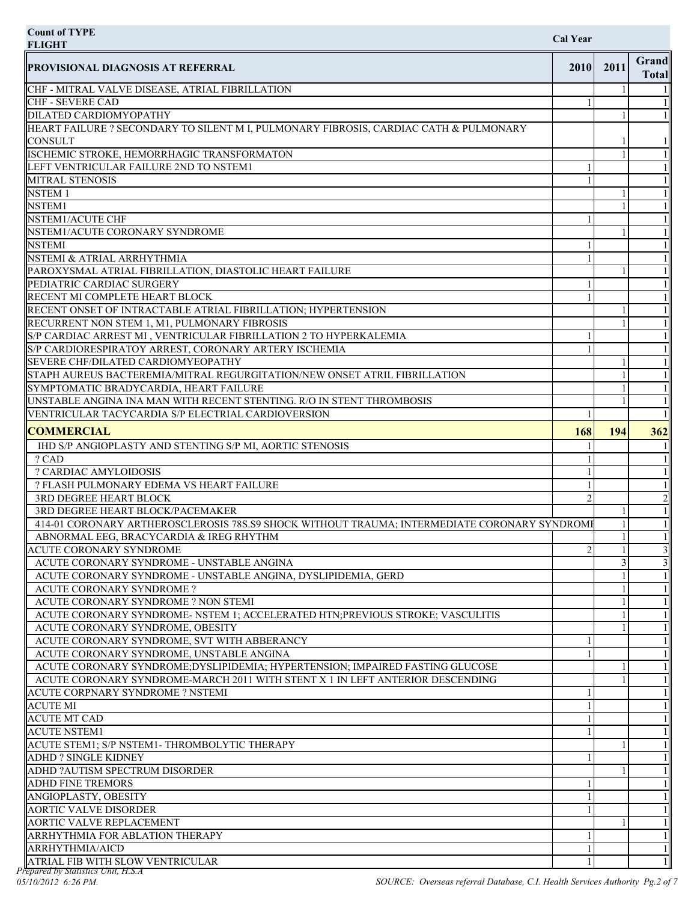| <b>Count of TYPE</b><br><b>Cal Year</b><br><b>FLIGHT</b>                                                                    |                |      |                         |
|-----------------------------------------------------------------------------------------------------------------------------|----------------|------|-------------------------|
| <b>PROVISIONAL DIAGNOSIS AT REFERRAL</b>                                                                                    | 2010           | 2011 | Grand<br><b>Total</b>   |
| CHF - MITRAL VALVE DISEASE, ATRIAL FIBRILLATION                                                                             |                |      |                         |
| CHF - SEVERE CAD                                                                                                            |                |      |                         |
| DILATED CARDIOMYOPATHY                                                                                                      |                |      |                         |
| HEART FAILURE ? SECONDARY TO SILENT M I, PULMONARY FIBROSIS, CARDIAC CATH & PULMONARY                                       |                |      |                         |
| <b>CONSULT</b><br>ISCHEMIC STROKE, HEMORRHAGIC TRANSFORMATON                                                                |                |      |                         |
| LEFT VENTRICULAR FAILURE 2ND TO NSTEM1                                                                                      |                |      |                         |
| <b>MITRAL STENOSIS</b>                                                                                                      |                |      |                         |
| <b>NSTEM1</b>                                                                                                               |                |      |                         |
| <b>NSTEM1</b>                                                                                                               |                |      |                         |
| NSTEM1/ACUTE CHF                                                                                                            |                |      |                         |
| NSTEM1/ACUTE CORONARY SYNDROME                                                                                              |                |      |                         |
| <b>NSTEMI</b>                                                                                                               |                |      |                         |
| NSTEMI & ATRIAL ARRHYTHMIA                                                                                                  |                |      |                         |
| PAROXYSMAL ATRIAL FIBRILLATION, DIASTOLIC HEART FAILURE                                                                     |                |      |                         |
| PEDIATRIC CARDIAC SURGERY                                                                                                   |                |      |                         |
| RECENT MI COMPLETE HEART BLOCK                                                                                              |                |      |                         |
| RECENT ONSET OF INTRACTABLE ATRIAL FIBRILLATION; HYPERTENSION                                                               |                |      |                         |
| RECURRENT NON STEM 1, M1, PULMONARY FIBROSIS                                                                                |                |      |                         |
| S/P CARDIAC ARREST MI , VENTRICULAR FIBRILLATION 2 TO HYPERKALEMIA                                                          |                |      |                         |
| S/P CARDIORESPIRATOY ARREST, CORONARY ARTERY ISCHEMIA                                                                       |                |      |                         |
| SEVERE CHF/DILATED CARDIOMYEOPATHY                                                                                          |                |      |                         |
| STAPH AUREUS BACTEREMIA/MITRAL REGURGITATION/NEW ONSET ATRIL FIBRILLATION                                                   |                |      |                         |
| SYMPTOMATIC BRADYCARDIA, HEART FAILURE                                                                                      |                |      |                         |
| UNSTABLE ANGINA INA MAN WITH RECENT STENTING. R/O IN STENT THROMBOSIS<br>VENTRICULAR TACYCARDIA S/P ELECTRIAL CARDIOVERSION |                |      |                         |
|                                                                                                                             |                |      |                         |
| <b>COMMERCIAL</b>                                                                                                           | 168            | 194  | 362                     |
| IHD S/P ANGIOPLASTY AND STENTING S/P MI, AORTIC STENOSIS                                                                    |                |      |                         |
| ? CAD                                                                                                                       |                |      |                         |
| ? CARDIAC AMYLOIDOSIS                                                                                                       |                |      |                         |
| ? FLASH PULMONARY EDEMA VS HEART FAILURE<br>3RD DEGREE HEART BLOCK                                                          | $\overline{2}$ |      | $\mathbf{c}$            |
| 3RD DEGREE HEART BLOCK/PACEMAKER                                                                                            |                |      |                         |
| 414-01 CORONARY ARTHEROSCLEROSIS 78S.S9 SHOCK WITHOUT TRAUMA; INTERMEDIATE CORONARY SYNDROME                                |                |      |                         |
| ABNORMAL EEG, BRACYCARDIA & IREG RHYTHM                                                                                     |                |      |                         |
| <b>ACUTE CORONARY SYNDROME</b>                                                                                              |                |      | $\overline{\mathbf{3}}$ |
| ACUTE CORONARY SYNDROME - UNSTABLE ANGINA                                                                                   |                |      | $\overline{\mathbf{3}}$ |
| ACUTE CORONARY SYNDROME - UNSTABLE ANGINA, DYSLIPIDEMIA, GERD                                                               |                |      |                         |
| ACUTE CORONARY SYNDROME ?                                                                                                   |                |      |                         |
| ACUTE CORONARY SYNDROME ? NON STEMI                                                                                         |                |      |                         |
| ACUTE CORONARY SYNDROME- NSTEM 1; ACCELERATED HTN; PREVIOUS STROKE; VASCULITIS                                              |                |      |                         |
| ACUTE CORONARY SYNDROME, OBESITY                                                                                            |                |      |                         |
| ACUTE CORONARY SYNDROME, SVT WITH ABBERANCY                                                                                 |                |      |                         |
| ACUTE CORONARY SYNDROME, UNSTABLE ANGINA                                                                                    |                |      |                         |
| ACUTE CORONARY SYNDROME; DYSLIPIDEMIA; HYPERTENSION; IMPAIRED FASTING GLUCOSE                                               |                |      |                         |
| ACUTE CORONARY SYNDROME-MARCH 2011 WITH STENT X 1 IN LEFT ANTERIOR DESCENDING                                               |                |      |                         |
| ACUTE CORPNARY SYNDROME ? NSTEMI                                                                                            |                |      |                         |
| <b>ACUTE MI</b>                                                                                                             |                |      |                         |
| <b>ACUTE MT CAD</b><br><b>ACUTE NSTEM1</b>                                                                                  |                |      |                         |
| ACUTE STEM1; S/P NSTEM1-THROMBOLYTIC THERAPY                                                                                |                |      |                         |
| <b>ADHD? SINGLE KIDNEY</b>                                                                                                  |                |      |                         |
| ADHD ?AUTISM SPECTRUM DISORDER                                                                                              |                |      |                         |
| <b>ADHD FINE TREMORS</b>                                                                                                    |                |      |                         |
| ANGIOPLASTY, OBESITY                                                                                                        |                |      |                         |
| <b>AORTIC VALVE DISORDER</b>                                                                                                |                |      |                         |
| <b>AORTIC VALVE REPLACEMENT</b>                                                                                             |                |      |                         |
|                                                                                                                             |                |      |                         |
| ARRHYTHMIA FOR ABLATION THERAPY                                                                                             |                |      |                         |
| ARRHYTHMIA/AICD                                                                                                             |                |      |                         |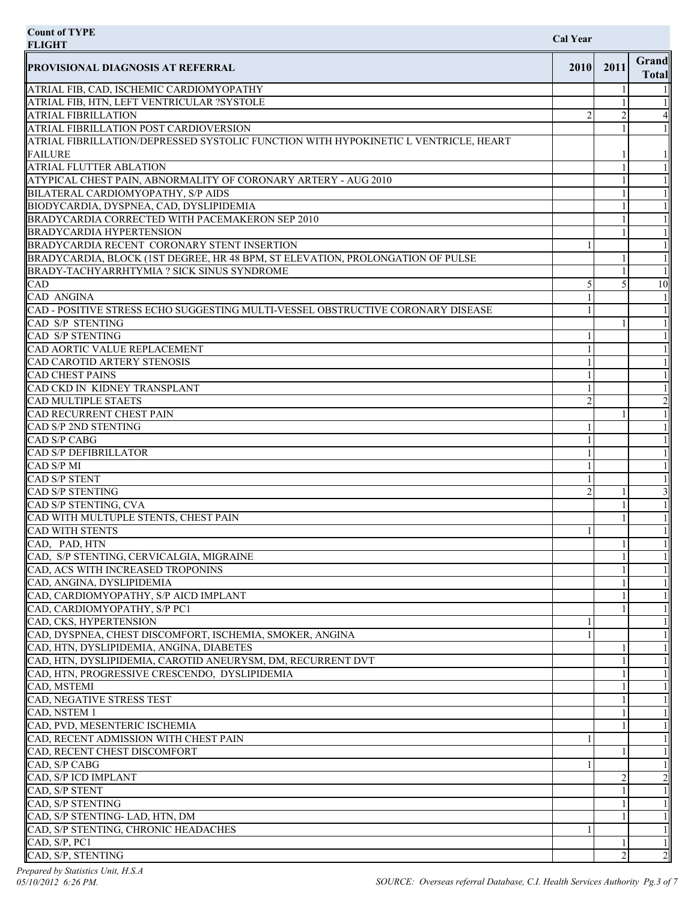| <b>Count of TYPE</b><br><b>FLIGHT</b>                                                                                                | <b>Cal Year</b> |      |                       |
|--------------------------------------------------------------------------------------------------------------------------------------|-----------------|------|-----------------------|
| <b>PROVISIONAL DIAGNOSIS AT REFERRAL</b>                                                                                             | 2010            | 2011 | Grand<br><b>Total</b> |
| ATRIAL FIB, CAD, ISCHEMIC CARDIOMYOPATHY                                                                                             |                 |      |                       |
| ATRIAL FIB, HTN, LEFT VENTRICULAR ?SYSTOLE                                                                                           |                 |      |                       |
| <b>ATRIAL FIBRILLATION</b>                                                                                                           |                 |      |                       |
| <b>ATRIAL FIBRILLATION POST CARDIOVERSION</b><br>ATRIAL FIBRILLATION/DEPRESSED SYSTOLIC FUNCTION WITH HYPOKINETIC L VENTRICLE, HEART |                 |      |                       |
| <b>FAILURE</b>                                                                                                                       |                 |      |                       |
| <b>ATRIAL FLUTTER ABLATION</b>                                                                                                       |                 |      |                       |
| ATYPICAL CHEST PAIN, ABNORMALITY OF CORONARY ARTERY - AUG 2010                                                                       |                 |      |                       |
| BILATERAL CARDIOMYOPATHY, S/P AIDS                                                                                                   |                 |      |                       |
| BIODYCARDIA, DYSPNEA, CAD, DYSLIPIDEMIA                                                                                              |                 |      |                       |
| BRADYCARDIA CORRECTED WITH PACEMAKERON SEP 2010                                                                                      |                 |      |                       |
| <b>BRADYCARDIA HYPERTENSION</b>                                                                                                      |                 |      |                       |
| BRADYCARDIA RECENT CORONARY STENT INSERTION                                                                                          |                 |      |                       |
| BRADYCARDIA, BLOCK (1ST DEGREE, HR 48 BPM, ST ELEVATION, PROLONGATION OF PULSE<br>BRADY-TACHYARRHTYMIA ? SICK SINUS SYNDROME         |                 |      |                       |
| CAD                                                                                                                                  |                 |      | 10                    |
| <b>CAD ANGINA</b>                                                                                                                    |                 |      |                       |
| CAD - POSITIVE STRESS ECHO SUGGESTING MULTI-VESSEL OBSTRUCTIVE CORONARY DISEASE                                                      |                 |      |                       |
| CAD S/P STENTING                                                                                                                     |                 |      |                       |
| <b>CAD S/P STENTING</b>                                                                                                              |                 |      |                       |
| CAD AORTIC VALUE REPLACEMENT                                                                                                         |                 |      |                       |
| CAD CAROTID ARTERY STENOSIS                                                                                                          |                 |      |                       |
| <b>CAD CHEST PAINS</b>                                                                                                               |                 |      |                       |
| CAD CKD IN KIDNEY TRANSPLANT                                                                                                         |                 |      |                       |
| <b>CAD MULTIPLE STAETS</b><br>CAD RECURRENT CHEST PAIN                                                                               | $\mathfrak{D}$  |      |                       |
| CAD S/P 2ND STENTING                                                                                                                 |                 |      |                       |
| <b>CAD S/P CABG</b>                                                                                                                  |                 |      |                       |
| <b>CAD S/P DEFIBRILLATOR</b>                                                                                                         |                 |      |                       |
| CAD S/P MI                                                                                                                           |                 |      |                       |
| <b>CAD S/P STENT</b>                                                                                                                 |                 |      |                       |
| <b>CAD S/P STENTING</b>                                                                                                              |                 |      | $\frac{3}{2}$         |
| CAD S/P STENTING, CVA                                                                                                                |                 |      |                       |
| CAD WITH MULTUPLE STENTS, CHEST PAIN                                                                                                 |                 |      |                       |
| <b>CAD WITH STENTS</b>                                                                                                               |                 |      |                       |
| CAD, PAD, HTN<br>CAD, S/P STENTING, CERVICALGIA, MIGRAINE                                                                            |                 |      |                       |
| CAD, ACS WITH INCREASED TROPONINS                                                                                                    |                 |      |                       |
| CAD, ANGINA, DYSLIPIDEMIA                                                                                                            |                 |      |                       |
| CAD, CARDIOMYOPATHY, S/P AICD IMPLANT                                                                                                |                 |      |                       |
| CAD, CARDIOMYOPATHY, S/P PC1                                                                                                         |                 |      |                       |
| CAD, CKS, HYPERTENSION                                                                                                               |                 |      |                       |
| CAD, DYSPNEA, CHEST DISCOMFORT, ISCHEMIA, SMOKER, ANGINA                                                                             |                 |      |                       |
| CAD, HTN, DYSLIPIDEMIA, ANGINA, DIABETES                                                                                             |                 |      |                       |
| CAD, HTN, DYSLIPIDEMIA, CAROTID ANEURYSM, DM, RECURRENT DVT                                                                          |                 |      |                       |
| CAD, HTN, PROGRESSIVE CRESCENDO, DYSLIPIDEMIA                                                                                        |                 |      |                       |
| CAD, MSTEMI<br>CAD, NEGATIVE STRESS TEST                                                                                             |                 |      |                       |
| CAD, NSTEM 1                                                                                                                         |                 |      |                       |
| CAD, PVD, MESENTERIC ISCHEMIA                                                                                                        |                 |      |                       |
| CAD, RECENT ADMISSION WITH CHEST PAIN                                                                                                |                 |      |                       |
| CAD, RECENT CHEST DISCOMFORT                                                                                                         |                 |      |                       |
| CAD, S/P CABG                                                                                                                        |                 |      |                       |
| CAD, S/P ICD IMPLANT                                                                                                                 |                 |      |                       |
| CAD, S/P STENT                                                                                                                       |                 |      |                       |
| CAD, S/P STENTING                                                                                                                    |                 |      |                       |
| CAD, S/P STENTING- LAD, HTN, DM<br>CAD, S/P STENTING, CHRONIC HEADACHES                                                              |                 |      |                       |
| CAD, S/P, PCl                                                                                                                        |                 |      |                       |
| CAD, S/P, STENTING                                                                                                                   |                 |      |                       |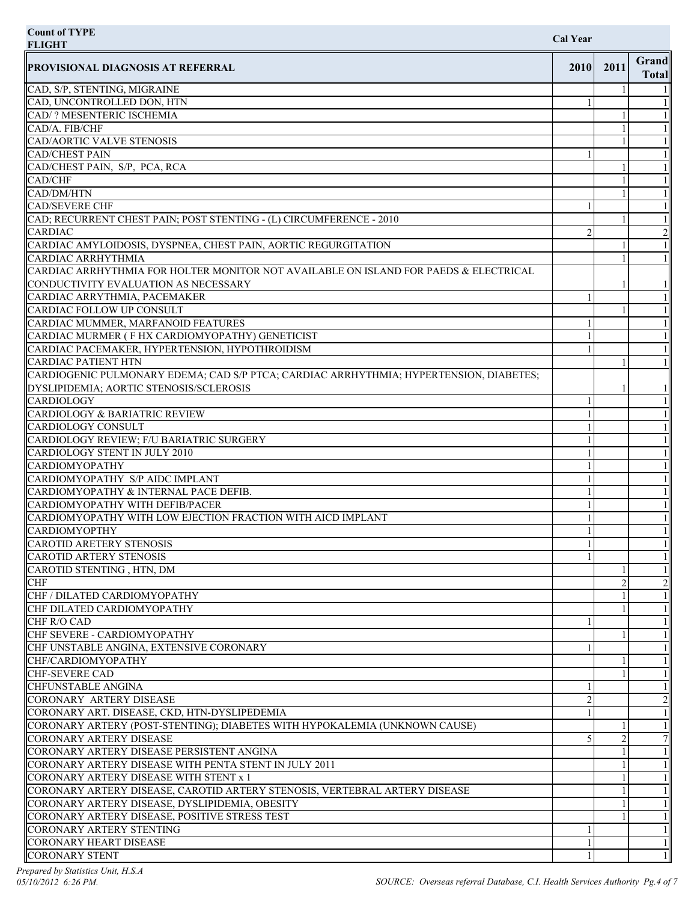| <b>Count of TYPE</b><br><b>FLIGHT</b>                                                  | <b>Cal Year</b> |      |                              |
|----------------------------------------------------------------------------------------|-----------------|------|------------------------------|
| <b>PROVISIONAL DIAGNOSIS AT REFERRAL</b>                                               | 2010            | 2011 | <b>Grand</b><br><b>Total</b> |
| CAD, S/P, STENTING, MIGRAINE                                                           |                 |      |                              |
| CAD, UNCONTROLLED DON, HTN                                                             |                 |      |                              |
| CAD/? MESENTERIC ISCHEMIA                                                              |                 |      |                              |
| CAD/A. FIB/CHF                                                                         |                 |      |                              |
| CAD/AORTIC VALVE STENOSIS                                                              |                 |      |                              |
| <b>CAD/CHEST PAIN</b>                                                                  |                 |      |                              |
| CAD/CHEST PAIN, S/P, PCA, RCA                                                          |                 |      |                              |
| CAD/CHF                                                                                |                 |      |                              |
| CAD/DM/HTN                                                                             |                 |      |                              |
| <b>CAD/SEVERE CHF</b>                                                                  |                 |      |                              |
| CAD; RECURRENT CHEST PAIN; POST STENTING - (L) CIRCUMFERENCE - 2010                    |                 |      |                              |
| <b>CARDIAC</b>                                                                         | 2               |      |                              |
| CARDIAC AMYLOIDOSIS, DYSPNEA, CHEST PAIN, AORTIC REGURGITATION                         |                 |      |                              |
| <b>CARDIAC ARRHYTHMIA</b>                                                              |                 |      |                              |
| CARDIAC ARRHYTHMIA FOR HOLTER MONITOR NOT AVAILABLE ON ISLAND FOR PAEDS & ELECTRICAL   |                 |      |                              |
| CONDUCTIVITY EVALUATION AS NECESSARY                                                   |                 |      |                              |
| CARDIAC ARRYTHMIA, PACEMAKER                                                           |                 |      |                              |
| CARDIAC FOLLOW UP CONSULT                                                              |                 |      |                              |
| CARDIAC MUMMER, MARFANOID FEATURES                                                     |                 |      |                              |
| CARDIAC MURMER (F HX CARDIOMYOPATHY) GENETICIST                                        |                 |      |                              |
| CARDIAC PACEMAKER, HYPERTENSION, HYPOTHROIDISM                                         |                 |      |                              |
| <b>CARDIAC PATIENT HTN</b>                                                             |                 |      |                              |
| CARDIOGENIC PULMONARY EDEMA; CAD S/P PTCA; CARDIAC ARRHYTHMIA; HYPERTENSION, DIABETES; |                 |      |                              |
| DYSLIPIDEMIA; AORTIC STENOSIS/SCLEROSIS                                                |                 |      |                              |
| CARDIOLOGY                                                                             |                 |      |                              |
| CARDIOLOGY & BARIATRIC REVIEW                                                          |                 |      |                              |
| CARDIOLOGY CONSULT                                                                     |                 |      |                              |
| CARDIOLOGY REVIEW; F/U BARIATRIC SURGERY                                               |                 |      |                              |
| CARDIOLOGY STENT IN JULY 2010                                                          |                 |      |                              |
| <b>CARDIOMYOPATHY</b>                                                                  |                 |      |                              |
| CARDIOMYOPATHY S/P AIDC IMPLANT                                                        |                 |      |                              |
| CARDIOMYOPATHY & INTERNAL PACE DEFIB.                                                  |                 |      |                              |
| CARDIOMYOPATHY WITH DEFIB/PACER                                                        |                 |      |                              |
| CARDIOMYOPATHY WITH LOW EJECTION FRACTION WITH AICD IMPLANT                            |                 |      |                              |
| <b>CARDIOMYOPTHY</b>                                                                   |                 |      |                              |
| <b>CAROTID ARETERY STENOSIS</b>                                                        |                 |      |                              |
| CAROTID ARTERY STENOSIS                                                                |                 |      |                              |
| CAROTID STENTING, HTN, DM                                                              |                 |      |                              |
| CHF                                                                                    |                 | 2    | $\gamma$                     |
| CHF / DILATED CARDIOMYOPATHY                                                           |                 |      |                              |
| CHF DILATED CARDIOMYOPATHY                                                             |                 |      |                              |
| CHF R/O CAD                                                                            |                 |      |                              |
| CHF SEVERE - CARDIOMYOPATHY                                                            |                 |      |                              |
| CHF UNSTABLE ANGINA, EXTENSIVE CORONARY                                                |                 |      |                              |
| CHF/CARDIOMYOPATHY                                                                     |                 |      |                              |
| <b>CHF-SEVERE CAD</b>                                                                  |                 |      |                              |
| CHFUNSTABLE ANGINA                                                                     |                 |      |                              |
| CORONARY ARTERY DISEASE                                                                | 2               |      | $\gamma$                     |
| CORONARY ART. DISEASE, CKD, HTN-DYSLIPEDEMIA                                           |                 |      |                              |
| CORONARY ARTERY (POST-STENTING); DIABETES WITH HYPOKALEMIA (UNKNOWN CAUSE)             |                 |      |                              |
| <b>CORONARY ARTERY DISEASE</b>                                                         |                 |      |                              |
| CORONARY ARTERY DISEASE PERSISTENT ANGINA                                              |                 |      |                              |
| CORONARY ARTERY DISEASE WITH PENTA STENT IN JULY 2011                                  |                 |      |                              |
| CORONARY ARTERY DISEASE WITH STENT x 1                                                 |                 |      |                              |
| CORONARY ARTERY DISEASE, CAROTID ARTERY STENOSIS, VERTEBRAL ARTERY DISEASE             |                 |      |                              |
| CORONARY ARTERY DISEASE, DYSLIPIDEMIA, OBESITY                                         |                 |      |                              |
| CORONARY ARTERY DISEASE, POSITIVE STRESS TEST                                          |                 |      |                              |
| <b>CORONARY ARTERY STENTING</b>                                                        |                 |      |                              |
| <b>CORONARY HEART DISEASE</b>                                                          |                 |      |                              |
| <b>CORONARY STENT</b>                                                                  |                 |      |                              |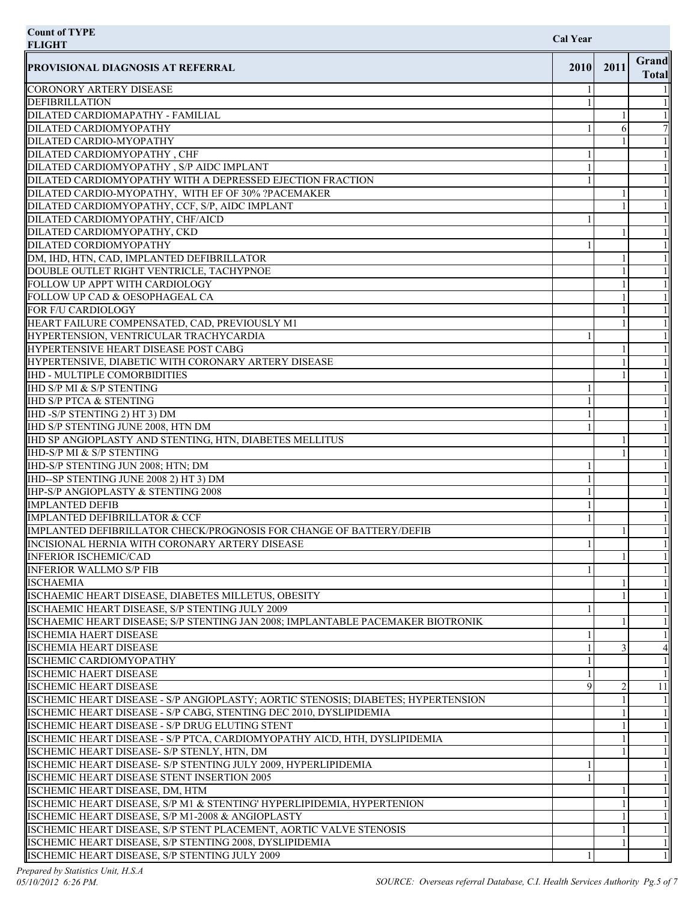| <b>Count of TYPE</b><br><b>FLIGHT</b>                                             | <b>Cal Year</b> |      |                              |
|-----------------------------------------------------------------------------------|-----------------|------|------------------------------|
| <b>PROVISIONAL DIAGNOSIS AT REFERRAL</b>                                          | 2010            | 2011 | <b>Grand</b><br><b>Total</b> |
| CORONORY ARTERY DISEASE                                                           |                 |      |                              |
| <b>DEFIBRILLATION</b>                                                             |                 |      |                              |
| DILATED CARDIOMAPATHY - FAMILIAL                                                  |                 |      |                              |
| DILATED CARDIOMYOPATHY                                                            |                 | 6    |                              |
| DILATED CARDIO-MYOPATHY                                                           |                 |      |                              |
| DILATED CARDIOMYOPATHY, CHF                                                       |                 |      |                              |
| DILATED CARDIOMYOPATHY, S/P AIDC IMPLANT                                          |                 |      |                              |
| DILATED CARDIOMYOPATHY WITH A DEPRESSED EJECTION FRACTION                         |                 |      |                              |
| DILATED CARDIO-MYOPATHY, WITH EF OF 30% ?PACEMAKER                                |                 |      |                              |
| DILATED CARDIOMYOPATHY, CCF, S/P, AIDC IMPLANT                                    |                 |      |                              |
| DILATED CARDIOMYOPATHY, CHF/AICD                                                  |                 |      |                              |
| DILATED CARDIOMYOPATHY, CKD                                                       |                 |      |                              |
| DILATED CORDIOMYOPATHY                                                            |                 |      |                              |
| DM, IHD, HTN, CAD, IMPLANTED DEFIBRILLATOR                                        |                 |      |                              |
| DOUBLE OUTLET RIGHT VENTRICLE, TACHYPNOE                                          |                 |      |                              |
| FOLLOW UP APPT WITH CARDIOLOGY                                                    |                 |      |                              |
| FOLLOW UP CAD & OESOPHAGEAL CA                                                    |                 |      |                              |
| FOR F/U CARDIOLOGY                                                                |                 |      |                              |
| HEART FAILURE COMPENSATED, CAD, PREVIOUSLY M1                                     |                 |      |                              |
| HYPERTENSION, VENTRICULAR TRACHYCARDIA                                            |                 |      |                              |
| HYPERTENSIVE HEART DISEASE POST CABG                                              |                 |      |                              |
| HYPERTENSIVE, DIABETIC WITH CORONARY ARTERY DISEASE                               |                 |      |                              |
| <b>IHD - MULTIPLE COMORBIDITIES</b>                                               |                 |      |                              |
| IHD S/P MI & S/P STENTING                                                         |                 |      |                              |
| <b>IHD S/P PTCA &amp; STENTING</b>                                                |                 |      |                              |
| IHD -S/P STENTING 2) HT 3) DM                                                     |                 |      |                              |
| IHD S/P STENTING JUNE 2008, HTN DM                                                |                 |      |                              |
| IHD SP ANGIOPLASTY AND STENTING, HTN, DIABETES MELLITUS                           |                 |      |                              |
| <b>IHD-S/P MI &amp; S/P STENTING</b>                                              |                 |      |                              |
| IHD-S/P STENTING JUN 2008; HTN; DM                                                |                 |      |                              |
| IHD--SP STENTING JUNE 2008 2) HT 3) DM                                            |                 |      |                              |
| <b>IHP-S/P ANGIOPLASTY &amp; STENTING 2008</b>                                    |                 |      |                              |
| <b>IMPLANTED DEFIB</b>                                                            |                 |      |                              |
|                                                                                   |                 |      |                              |
| IMPLANTED DEFIBRILLATOR & CCF                                                     |                 |      |                              |
| IMPLANTED DEFIBRILLATOR CHECK/PROGNOSIS FOR CHANGE OF BATTERY/DEFIB               |                 |      |                              |
| INCISIONAL HERNIA WITH CORONARY ARTERY DISEASE                                    |                 |      |                              |
| <b>INFERIOR ISCHEMIC/CAD</b>                                                      |                 |      |                              |
| <b>INFERIOR WALLMO S/P FIB</b>                                                    |                 |      |                              |
| <b>ISCHAEMIA</b>                                                                  |                 |      |                              |
| ISCHAEMIC HEART DISEASE, DIABETES MILLETUS, OBESITY                               |                 |      |                              |
| ISCHAEMIC HEART DISEASE, S/P STENTING JULY 2009                                   |                 |      |                              |
| ISCHAEMIC HEART DISEASE; S/P STENTING JAN 2008; IMPLANTABLE PACEMAKER BIOTRONIK   |                 |      |                              |
| <b>ISCHEMIA HAERT DISEASE</b>                                                     |                 |      |                              |
| <b>ISCHEMIA HEART DISEASE</b>                                                     |                 | 3    | 41                           |
| <b>ISCHEMIC CARDIOMYOPATHY</b>                                                    |                 |      |                              |
| <b>ISCHEMIC HAERT DISEASE</b>                                                     |                 |      |                              |
| <b>ISCHEMIC HEART DISEASE</b>                                                     | q               |      | 11                           |
| ISCHEMIC HEART DISEASE - S/P ANGIOPLASTY; AORTIC STENOSIS; DIABETES; HYPERTENSION |                 |      |                              |
| ISCHEMIC HEART DISEASE - S/P CABG, STENTING DEC 2010, DYSLIPIDEMIA                |                 |      |                              |
| ISCHEMIC HEART DISEASE - S/P DRUG ELUTING STENT                                   |                 |      |                              |
| ISCHEMIC HEART DISEASE - S/P PTCA, CARDIOMYOPATHY AICD, HTH, DYSLIPIDEMIA         |                 |      |                              |
| ISCHEMIC HEART DISEASE- S/P STENLY, HTN, DM                                       |                 |      |                              |
| ISCHEMIC HEART DISEASE- S/P STENTING JULY 2009, HYPERLIPIDEMIA                    |                 |      |                              |
| ISCHEMIC HEART DISEASE STENT INSERTION 2005                                       |                 |      |                              |
| ISCHEMIC HEART DISEASE, DM, HTM                                                   |                 |      |                              |
| ISCHEMIC HEART DISEASE, S/P M1 & STENTING' HYPERLIPIDEMIA, HYPERTENION            |                 |      |                              |
| ISCHEMIC HEART DISEASE, S/P M1-2008 & ANGIOPLASTY                                 |                 |      |                              |
| ISCHEMIC HEART DISEASE, S/P STENT PLACEMENT, AORTIC VALVE STENOSIS                |                 |      |                              |
| ISCHEMIC HEART DISEASE, S/P STENTING 2008, DYSLIPIDEMIA                           |                 |      |                              |
| ISCHEMIC HEART DISEASE, S/P STENTING JULY 2009                                    |                 |      |                              |
|                                                                                   |                 |      |                              |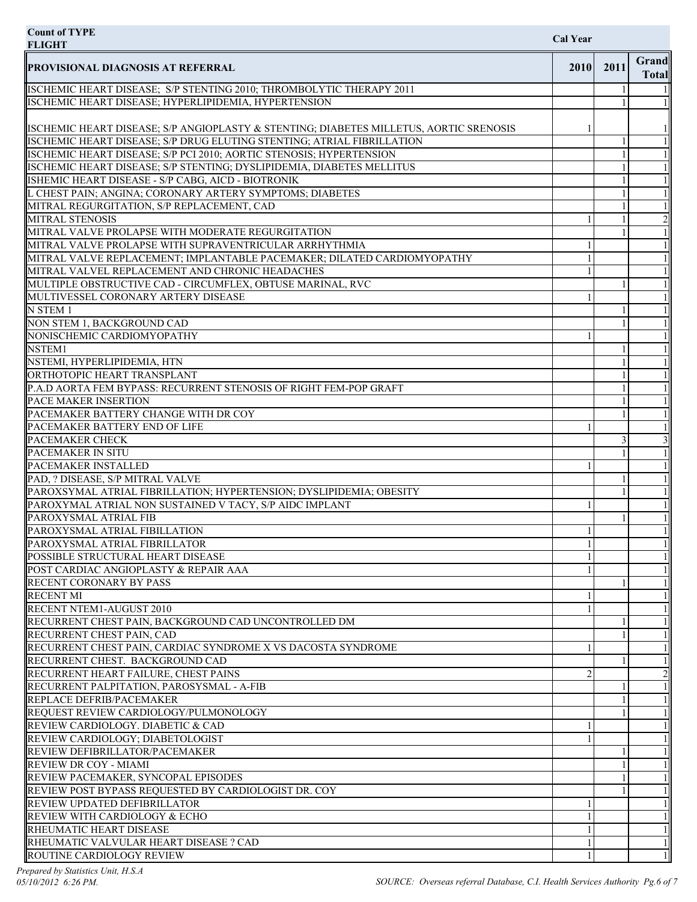| <b>Count of TYPE</b><br><b>FLIGHT</b>                                                                                       | <b>Cal Year</b>             |      |                              |
|-----------------------------------------------------------------------------------------------------------------------------|-----------------------------|------|------------------------------|
| <b>PROVISIONAL DIAGNOSIS AT REFERRAL</b>                                                                                    | 2010                        | 2011 | <b>Grand</b><br><b>Total</b> |
| ISCHEMIC HEART DISEASE; S/P STENTING 2010; THROMBOLYTIC THERAPY 2011                                                        |                             |      |                              |
| ISCHEMIC HEART DISEASE; HYPERLIPIDEMIA, HYPERTENSION                                                                        |                             |      |                              |
| ISCHEMIC HEART DISEASE; S/P ANGIOPLASTY & STENTING; DIABETES MILLETUS, AORTIC SRENOSIS                                      |                             |      |                              |
| ISCHEMIC HEART DISEASE; S/P DRUG ELUTING STENTING; ATRIAL FIBRILLATION                                                      |                             |      |                              |
| ISCHEMIC HEART DISEASE; S/P PCI 2010; AORTIC STENOSIS; HYPERTENSION                                                         |                             |      |                              |
| ISCHEMIC HEART DISEASE; S/P STENTING; DYSLIPIDEMIA, DIABETES MELLITUS<br>ISHEMIC HEART DISEASE - S/P CABG, AICD - BIOTRONIK |                             |      |                              |
| L CHEST PAIN; ANGINA; CORONARY ARTERY SYMPTOMS; DIABETES                                                                    |                             |      |                              |
| MITRAL REGURGITATION, S/P REPLACEMENT, CAD                                                                                  |                             |      |                              |
| <b>MITRAL STENOSIS</b>                                                                                                      |                             |      | $\overline{c}$               |
| MITRAL VALVE PROLAPSE WITH MODERATE REGURGITATION                                                                           |                             |      |                              |
| MITRAL VALVE PROLAPSE WITH SUPRAVENTRICULAR ARRHYTHMIA                                                                      |                             |      |                              |
| MITRAL VALVE REPLACEMENT; IMPLANTABLE PACEMAKER; DILATED CARDIOMYOPATHY                                                     |                             |      |                              |
| MITRAL VALVEL REPLACEMENT AND CHRONIC HEADACHES                                                                             |                             |      |                              |
| MULTIPLE OBSTRUCTIVE CAD - CIRCUMFLEX, OBTUSE MARINAL, RVC                                                                  |                             |      |                              |
| MULTIVESSEL CORONARY ARTERY DISEASE                                                                                         |                             |      |                              |
| N STEM 1                                                                                                                    |                             |      |                              |
| NON STEM 1, BACKGROUND CAD<br>NONISCHEMIC CARDIOMYOPATHY                                                                    |                             |      |                              |
| NSTEM1                                                                                                                      |                             |      |                              |
| NSTEMI, HYPERLIPIDEMIA, HTN                                                                                                 |                             |      |                              |
| ORTHOTOPIC HEART TRANSPLANT                                                                                                 |                             |      |                              |
| P.A.D AORTA FEM BYPASS: RECURRENT STENOSIS OF RIGHT FEM-POP GRAFT                                                           |                             |      |                              |
| PACE MAKER INSERTION                                                                                                        |                             |      |                              |
| PACEMAKER BATTERY CHANGE WITH DR COY                                                                                        |                             |      |                              |
| PACEMAKER BATTERY END OF LIFE                                                                                               |                             |      |                              |
| <b>PACEMAKER CHECK</b>                                                                                                      |                             | 3    | 3                            |
| PACEMAKER IN SITU                                                                                                           |                             |      |                              |
| <b>PACEMAKER INSTALLED</b>                                                                                                  |                             |      |                              |
| PAD, ? DISEASE, S/P MITRAL VALVE                                                                                            |                             |      |                              |
| PAROXSYMAL ATRIAL FIBRILLATION; HYPERTENSION; DYSLIPIDEMIA; OBESITY                                                         |                             |      | 11                           |
| PAROXYMAL ATRIAL NON SUSTAINED V TACY, S/P AIDC IMPLANT<br>PAROXYSMAL ATRIAL FIB                                            |                             |      |                              |
| PAROXYSMAL ATRIAL FIBILLATION                                                                                               |                             |      |                              |
| PAROXYSMAL ATRIAL FIBRILLATOR                                                                                               |                             |      |                              |
| POSSIBLE STRUCTURAL HEART DISEASE                                                                                           |                             |      |                              |
| POST CARDIAC ANGIOPLASTY & REPAIR AAA                                                                                       |                             |      |                              |
| RECENT CORONARY BY PASS                                                                                                     |                             |      |                              |
| <b>RECENT MI</b>                                                                                                            |                             |      |                              |
| RECENT NTEM1-AUGUST 2010                                                                                                    |                             |      |                              |
| RECURRENT CHEST PAIN, BACKGROUND CAD UNCONTROLLED DM                                                                        |                             |      |                              |
| RECURRENT CHEST PAIN, CAD                                                                                                   |                             |      |                              |
| RECURRENT CHEST PAIN, CARDIAC SYNDROME X VS DACOSTA SYNDROME                                                                |                             |      |                              |
| RECURRENT CHEST. BACKGROUND CAD                                                                                             |                             |      |                              |
| RECURRENT HEART FAILURE, CHEST PAINS                                                                                        | $\mathcal{D}_{\mathcal{L}}$ |      |                              |
| RECURRENT PALPITATION, PAROSYSMAL - A-FIB<br>REPLACE DEFRIB/PACEMAKER                                                       |                             |      |                              |
| REQUEST REVIEW CARDIOLOGY/PULMONOLOGY                                                                                       |                             |      |                              |
| REVIEW CARDIOLOGY. DIABETIC & CAD                                                                                           |                             |      |                              |
| REVIEW CARDIOLOGY; DIABETOLOGIST                                                                                            |                             |      |                              |
| REVIEW DEFIBRILLATOR/PACEMAKER                                                                                              |                             |      |                              |
| REVIEW DR COY - MIAMI                                                                                                       |                             |      |                              |
| REVIEW PACEMAKER, SYNCOPAL EPISODES                                                                                         |                             |      |                              |
| REVIEW POST BYPASS REQUESTED BY CARDIOLOGIST DR. COY                                                                        |                             |      |                              |
| <b>REVIEW UPDATED DEFIBRILLATOR</b>                                                                                         |                             |      |                              |
| <b>REVIEW WITH CARDIOLOGY &amp; ECHO</b>                                                                                    |                             |      |                              |
| <b>RHEUMATIC HEART DISEASE</b>                                                                                              |                             |      |                              |
| RHEUMATIC VALVULAR HEART DISEASE ? CAD                                                                                      |                             |      |                              |
| <b>ROUTINE CARDIOLOGY REVIEW</b>                                                                                            |                             |      |                              |